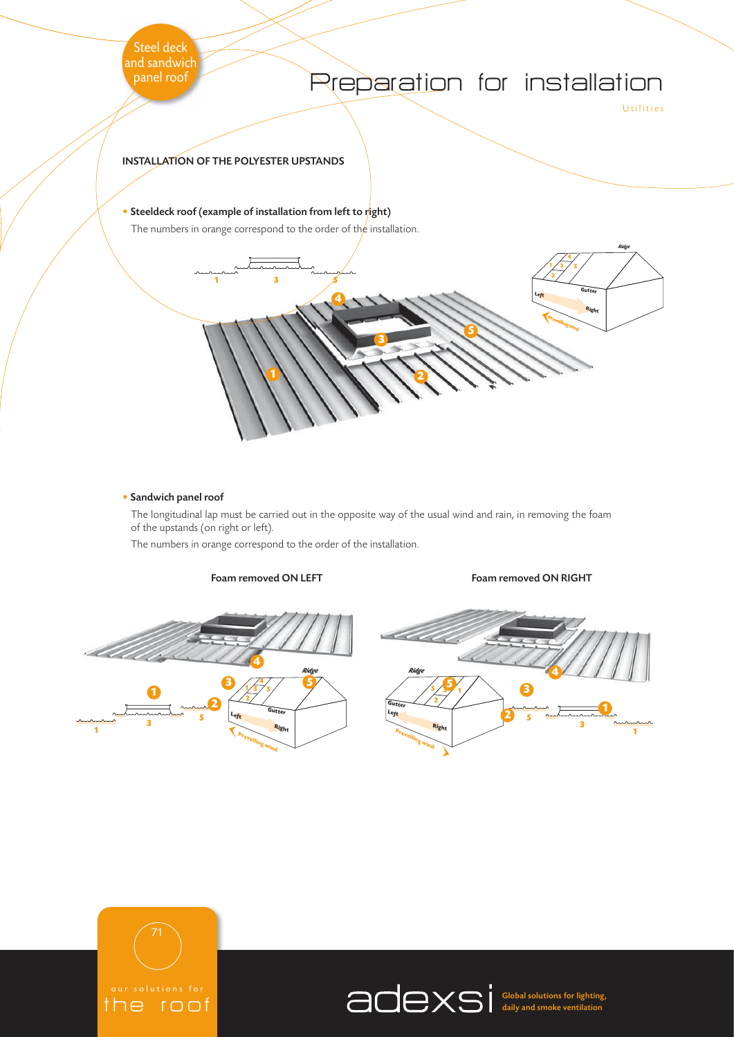

#### • Sandwich panel roof

The longitudinal lap must be carried out in the opposite way of the usual wind and rain, in removing the foam of the upstands (on right or left).

The numbers in orange correspond to the order of the installation.



Foam removed ON LEFT FOAM RIGHT





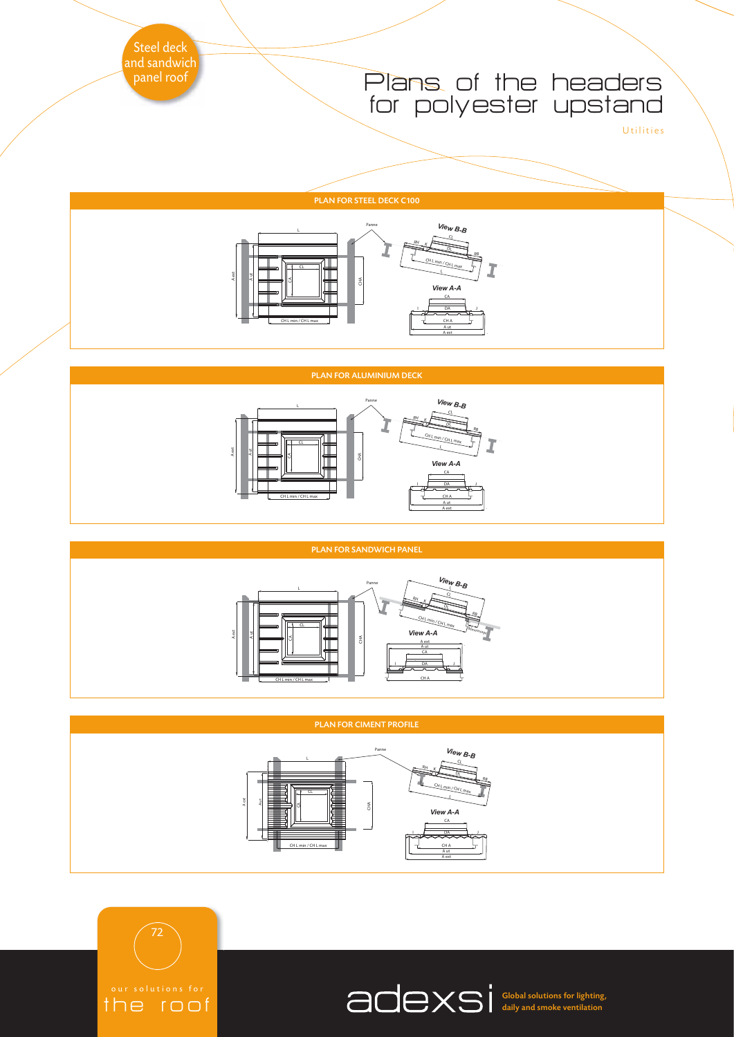### Plans of the headers for polyester upstand

Utilities

#### PLAN FOR STEEL DECK C100



#### PLAN FOR ALUMINIUM DECK



#### PLAN FOR SANDWICH PANEL



#### PLAN FOR CIMENT PROFILE



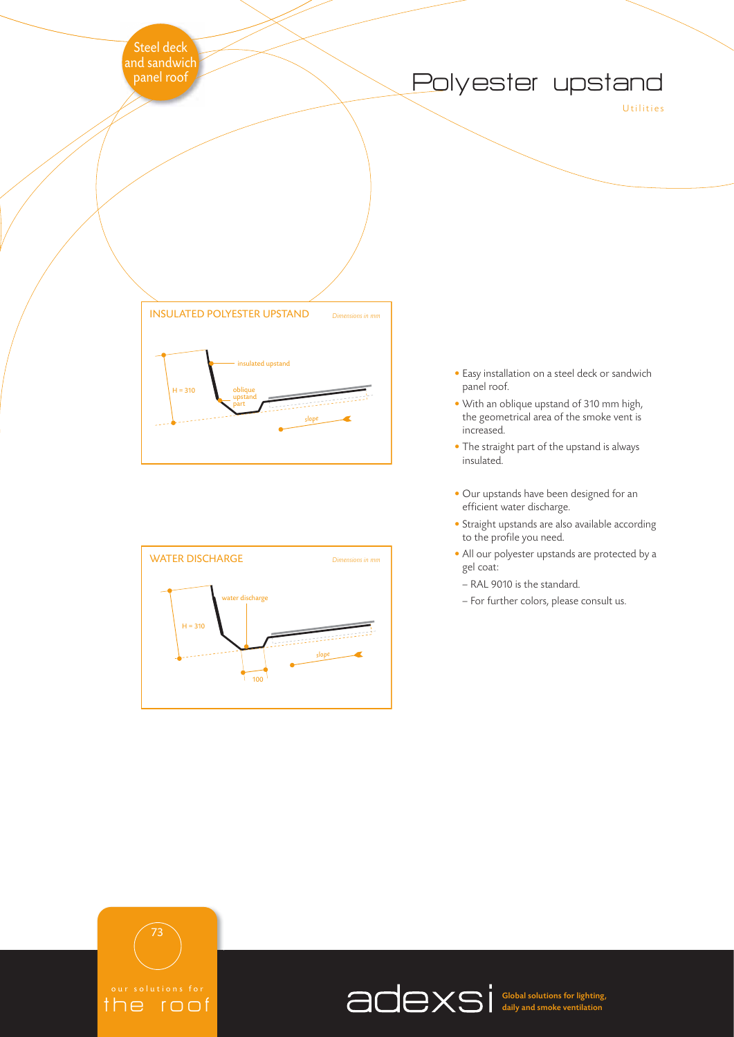## Polyester upstand

Utilities





- Easy installation on a steel deck or sandwich panel roof.
- With an oblique upstand of 310 mm high, the geometrical area of the smoke vent is increased.
- The straight part of the upstand is always insulated.
- Our upstands have been designed for an efficient water discharge.
- Straight upstands are also available according to the profile you need.
- All our polyester upstands are protected by a gel coat:
	- RAL 9010 is the standard.
- For further colors, please consult us.

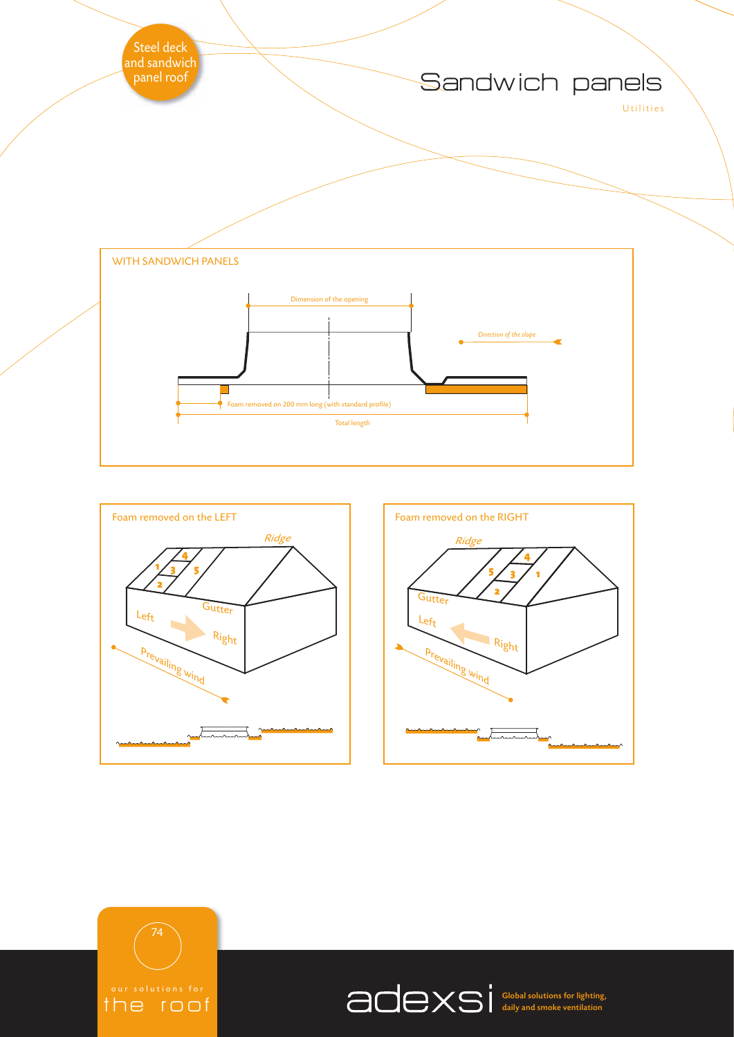







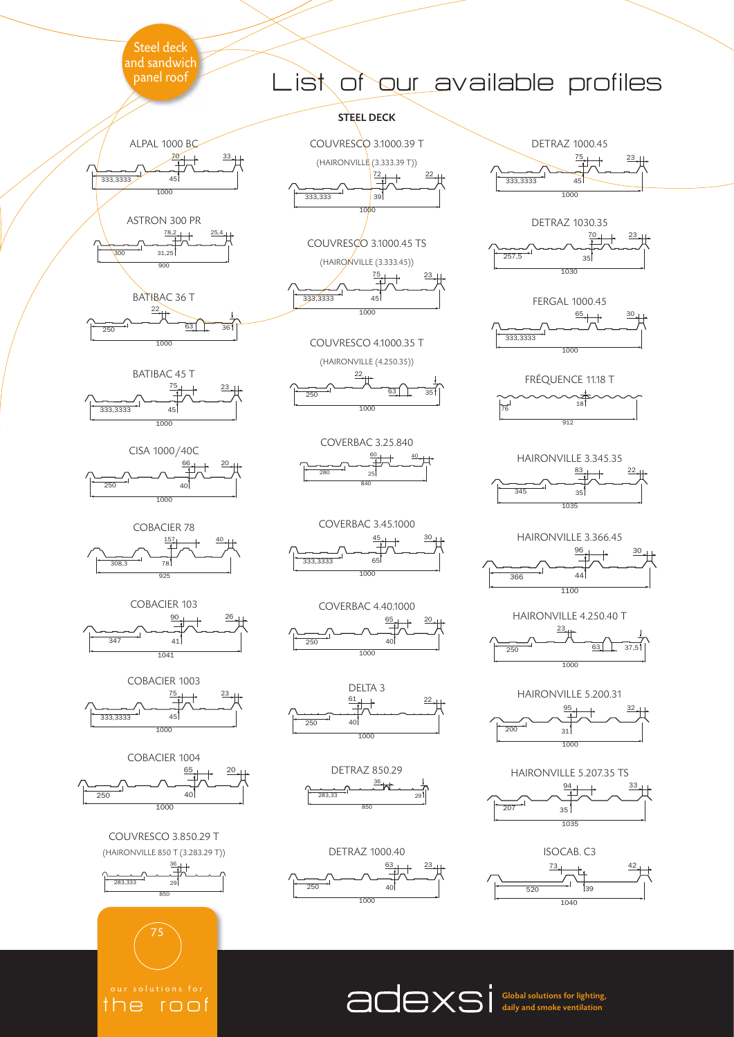















COUVRESCO 3.850.29 T (HAIRONVILLE 850 T (3.283.29 T))































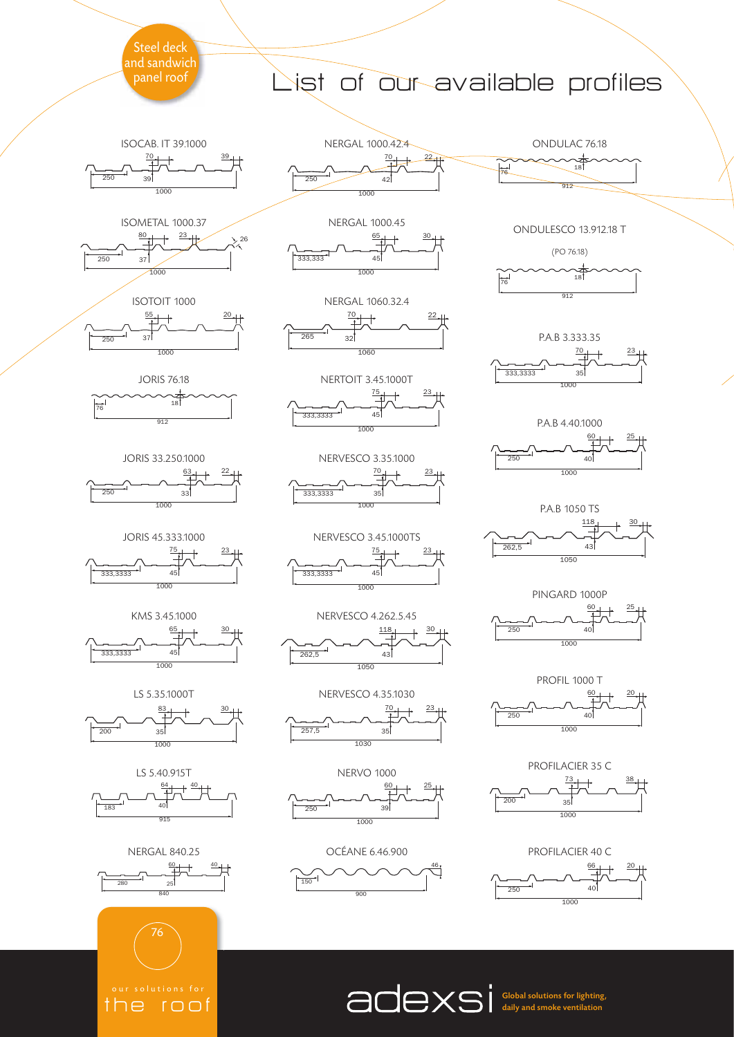

<u>the roof</u>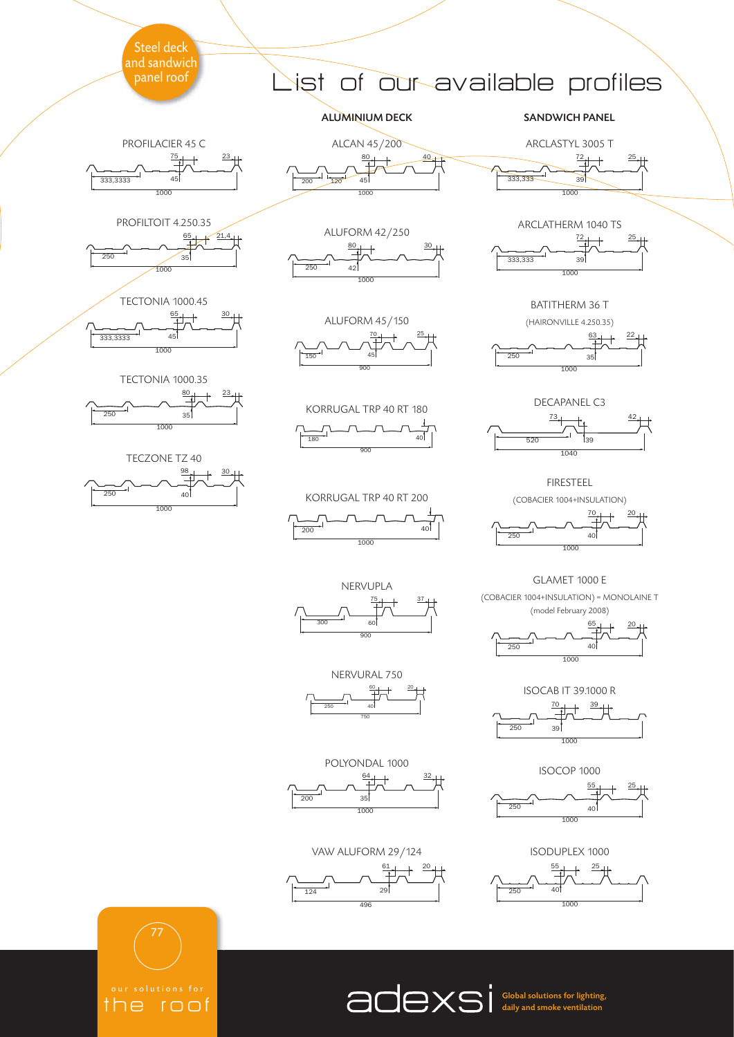









<u>the roof</u>

# 1st of our available profiles

ALUMINIUM DECK SANDWICH PANEL

ARCLASTYL 3005 T 





BATITHERM 36 T (HAIRONVILLE 4.250.35)

22

20

DECAPANEL C3

्<br>अ

 $\frac{73}{1}$  42

 $\frac{1}{520}$ 

FIRESTEEL (COBACIER 1004+INSULATION)

GLAMET 1000 E

40

(model February 2008)

 



ALCAN 45/200

 $80 + 40$ 

 $\frac{80}{1}$   $\frac{30}{1}$ 

120

ALUFORM 42/250

 $\overline{1000}$ 

KORRUGAL TRP 40 RT 180 180 40

KORRUGAL TRP 40 RT 200







NERVUPLA (COBACIER 1004+INSULATION) = MONOLAINE T  $75 \quad 1 \quad 37$ 



NERVURAL 750 20 



POLYONDAL 1000  $1$   $32$  $\overrightarrow{200}$  35

VAW ALUFORM 29/124





ISOCAB IT 39.1000 R

 $1$   $1$   $39$ 

40



ISODUPLEX 1000